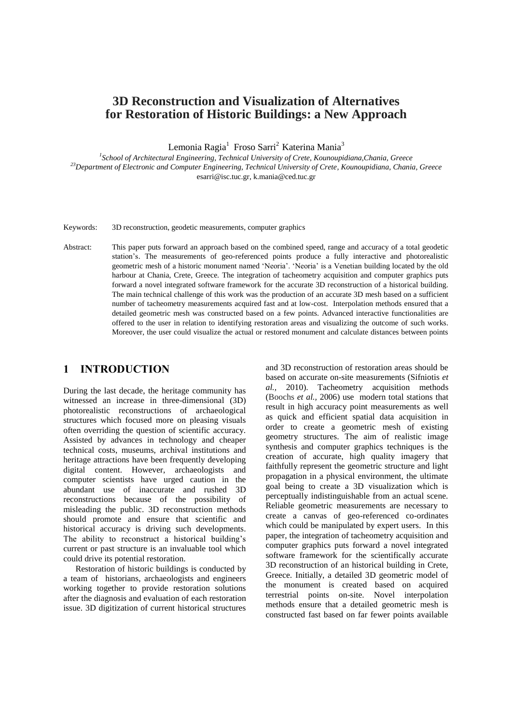# **3D Reconstruction and Visualization of Alternatives for Restoration of Historic Buildings: a New Approach**

Lemonia Ragia<sup>1</sup> Froso Sarri<sup>2</sup> Katerina Mania<sup>3</sup>

*1 School of Architectural Engineering, Technical University of Crete, Kounoupidiana,Chania, Greece <sup>23</sup>Department of Electronic and Computer Engineering, Technical University of Crete, Kounoupidiana, Chania, Greece* esarri@isc.tuc.gr, k.mania@ced.tuc.gr

Keywords: 3D reconstruction, geodetic measurements, computer graphics

Abstract: This paper puts forward an approach based on the combined speed, range and accuracy of a total geodetic station's. The measurements of geo-referenced points produce a fully interactive and photorealistic geometric mesh of a historic monument named 'Neoria'. 'Neoria' is a Venetian building located by the old harbour at Chania, Crete, Greece. The integration of tacheometry acquisition and computer graphics puts forward a novel integrated software framework for the accurate 3D reconstruction of a historical building. The main technical challenge of this work was the production of an accurate 3D mesh based on a sufficient number of tacheometry measurements acquired fast and at low-cost. Interpolation methods ensured that a detailed geometric mesh was constructed based on a few points. Advanced interactive functionalities are offered to the user in relation to identifying restoration areas and visualizing the outcome of such works. Moreover, the user could visualize the actual or restored monument and calculate distances between points

#### **1 INTRODUCTION**

During the last decade, the heritage community has witnessed an increase in three-dimensional (3D) photorealistic reconstructions of archaeological structures which focused more on pleasing visuals often overriding the question of scientific accuracy. Assisted by advances in technology and cheaper technical costs, museums, archival institutions and heritage attractions have been frequently developing digital content. However, archaeologists and computer scientists have urged caution in the abundant use of inaccurate and rushed 3D reconstructions because of the possibility of misleading the public. 3D reconstruction methods should promote and ensure that scientific and historical accuracy is driving such developments. The ability to reconstruct a historical building's current or past structure is an invaluable tool which could drive its potential restoration.

Restoration of historic buildings is conducted by a team of historians, archaeologists and engineers working together to provide restoration solutions after the diagnosis and evaluation of each restoration issue. 3D digitization of current historical structures

and 3D reconstruction of restoration areas should be based on accurate on-site measurements (Sifniotis *et al.,* 2010). Tacheometry acquisition methods (Boochs *et al.,* 2006) use modern total stations that result in high accuracy point measurements as well as quick and efficient spatial data acquisition in order to create a geometric mesh of existing geometry structures. The aim of realistic image synthesis and computer graphics techniques is the creation of accurate, high quality imagery that faithfully represent the geometric structure and light propagation in a physical environment, the ultimate goal being to create a 3D visualization which is perceptually indistinguishable from an actual scene. Reliable geometric measurements are necessary to create a canvas of geo-referenced co-ordinates which could be manipulated by expert users. In this paper, the integration of tacheometry acquisition and computer graphics puts forward a novel integrated software framework for the scientifically accurate 3D reconstruction of an historical building in Crete, Greece. Initially, a detailed 3D geometric model of the monument is created based on acquired terrestrial points on-site. Novel interpolation methods ensure that a detailed geometric mesh is constructed fast based on far fewer points available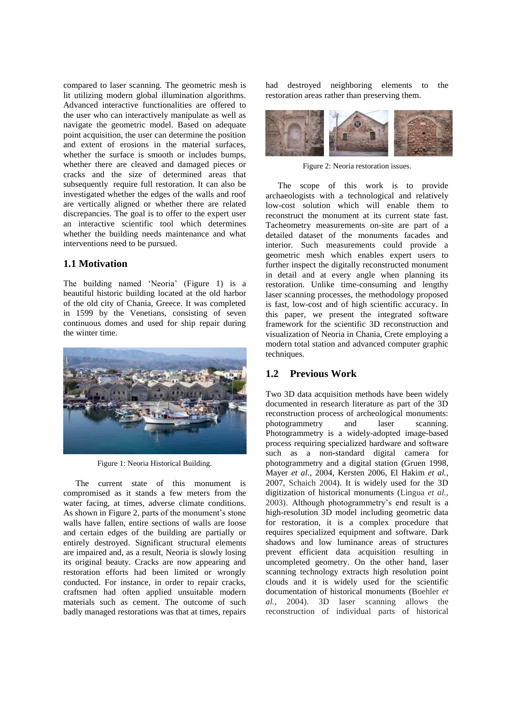compared to laser scanning. The geometric mesh is lit utilizing modern global illumination algorithms. Advanced interactive functionalities are offered to the user who can interactively manipulate as well as navigate the geometric model. Based on adequate point acquisition, the user can determine the position and extent of erosions in the material surfaces, whether the surface is smooth or includes bumps, whether there are cleaved and damaged pieces or cracks and the size of determined areas that subsequently require full restoration. It can also be investigated whether the edges of the walls and roof are vertically aligned or whether there are related discrepancies. The goal is to offer to the expert user an interactive scientific tool which determines whether the building needs maintenance and what interventions need to be pursued.

#### **1.1 Motivation**

The building named 'Neoria' (Figure 1) is a beautiful historic building located at the old harbor of the old city of Chania, Greece. It was completed in 1599 by the Venetians, consisting of seven continuous domes and used for ship repair during the winter time.



Figure 1: Neoria Historical Building.

The current state of this monument is compromised as it stands a few meters from the water facing, at times, adverse climate conditions. As shown in Figure 2, parts of the monument's stone walls have fallen, entire sections of walls are loose and certain edges of the building are partially or entirely destroyed. Significant structural elements are impaired and, as a result, Neoria is slowly losing its original beauty. Cracks are now appearing and restoration efforts had been limited or wrongly conducted. For instance, in order to repair cracks, craftsmen had often applied unsuitable modern materials such as cement. The outcome of such badly managed restorations was that at times, repairs had destroyed neighboring elements to the restoration areas rather than preserving them.



Figure 2: Neoria restoration issues.

The scope of this work is to provide archaeologists with a technological and relatively low-cost solution which will enable them to reconstruct the monument at its current state fast. Tacheometry measurements on-site are part of a detailed dataset of the monuments facades and interior. Such measurements could provide a geometric mesh which enables expert users to further inspect the digitally reconstructed monument in detail and at every angle when planning its restoration. Unlike time-consuming and lengthy laser scanning processes, the methodology proposed is fast, low-cost and of high scientific accuracy. In this paper, we present the integrated software framework for the scientific 3D reconstruction and visualization of Neoria in Chania, Crete employing a modern total station and advanced computer graphic techniques.

### **1.2 Previous Work**

Two 3D data acquisition methods have been widely documented in research literature as part of the 3D reconstruction process of archeological monuments: photogrammetry and laser scanning. Photogrammetry is a widely-adopted image-based process requiring specialized hardware and software such as a non-standard digital camera for photogrammetry and a digital station (Gruen 1998, Mayer *et al.,* 2004, Kersten 2006, El Hakim *et al.,* 2007, Schaich 2004). It is widely used for the 3D digitization of historical monuments (Lingua *et al.,* 2003). Although photogrammetry's end result is a high-resolution 3D model including geometric data for restoration, it is a complex procedure that requires specialized equipment and software. Dark shadows and low luminance areas of structures prevent efficient data acquisition resulting in uncompleted geometry. On the other hand, laser scanning technology extracts high resolution point clouds and it is widely used for the scientific documentation of historical monuments (Boehler *et al.,* 2004). 3D laser scanning allows the reconstruction of individual parts of historical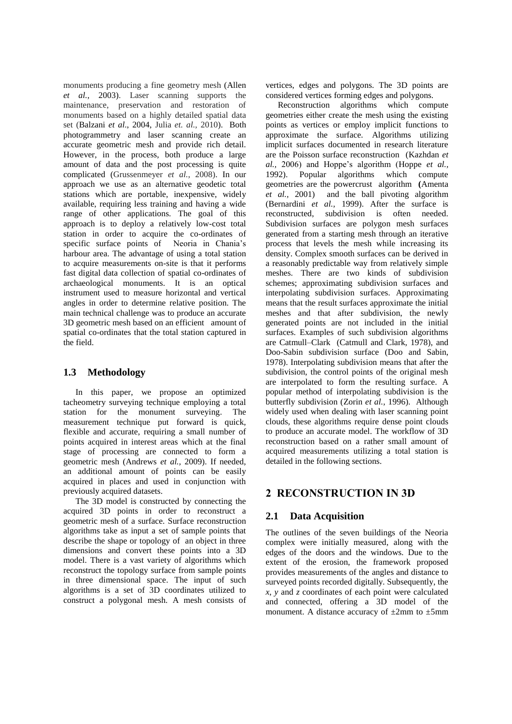monuments producing a fine geometry mesh (Allen *et al.,* 2003). Laser scanning supports the maintenance, preservation and restoration of monuments based on a highly detailed spatial data set (Balzani *et al*., 2004, Julia *et. al.,* 2010). Both photogrammetry and laser scanning create an accurate geometric mesh and provide rich detail. However, in the process, both produce a large amount of data and the post processing is quite complicated (Grussenmeyer *et al.*, 2008). In our approach we use as an alternative geodetic total stations which are portable, inexpensive, widely available, requiring less training and having a wide range of other applications. The goal of this approach is to deploy a relatively low-cost total station in order to acquire the co-ordinates of specific surface points of Neoria in Chania's harbour area. The advantage of using a total station to acquire measurements on-site is that it performs fast digital data collection of spatial co-ordinates of archaeological monuments. It is an optical instrument used to measure horizontal and vertical angles in order to determine relative position. The main technical challenge was to produce an accurate 3D geometric mesh based on an efficient amount of spatial co-ordinates that the total station captured in the field.

### **1.3 Methodology**

In this paper, we propose an optimized tacheometry surveying technique employing a total station for the monument surveying. The measurement technique put forward is quick, flexible and accurate, requiring a small number of points acquired in interest areas which at the final stage of processing are connected to form a geometric mesh (Andrews *et al.,* 2009). If needed, an additional amount of points can be easily acquired in places and used in conjunction with previously acquired datasets.

The 3D model is constructed by connecting the acquired 3D points in order to reconstruct a geometric mesh of a surface. Surface reconstruction algorithms take as input a set of sample points that describe the shape or topology of an object in three dimensions and convert these points into a 3D model. There is a vast variety of algorithms which reconstruct the topology surface from sample points in three dimensional space. The input of such algorithms is a set of 3D coordinates utilized to construct a polygonal mesh. A mesh consists of

vertices, edges and polygons. The 3D points are considered vertices forming edges and polygons.

Reconstruction algorithms which compute geometries either create the mesh using the existing points as vertices or employ implicit functions to approximate the surface. Algorithms utilizing implicit surfaces documented in research literature are the Poisson surface reconstruction (Kazhdan *et al.,* 2006) and Hoppe's algorithm (Hoppe *et al.,* 1992). Popular algorithms which compute geometries are the powercrust algorithm **(**Amenta *et al.,* 2001) and the ball pivoting algorithm (Bernardini *et al.,* 1999). After the surface is reconstructed, subdivision is often needed. Subdivision surfaces are polygon mesh surfaces generated from a starting mesh through an iterative process that levels the mesh while increasing its density. Complex smooth surfaces can be derived in a reasonably predictable way from relatively simple meshes. There are two kinds of subdivision schemes; approximating subdivision surfaces and interpolating subdivision surfaces. Approximating means that the result surfaces approximate the initial meshes and that after subdivision, the newly generated points are not included in the initial surfaces. Examples of such subdivision algorithms are [Catmull–Clark](http://en.wikipedia.org/wiki/Catmull%E2%80%93Clark_subdivision_surface) (Catmull and Clark, 1978), and Doo-Sabin subdivision surface (Doo and Sabin, 1978). Interpolating subdivision means that after the subdivision, the control points of the original mesh are interpolated to form the resulting surface. A popular method of interpolating subdivision is the butterfly subdivision (Zorin *et al.,* 1996). Although widely used when dealing with laser scanning point clouds, these algorithms require dense point clouds to produce an accurate model. The workflow of 3D reconstruction based on a rather small amount of acquired measurements utilizing a total station is detailed in the following sections.

## **2 RECONSTRUCTION IN 3D**

### **2.1 Data Acquisition**

The outlines of the seven buildings of the Neoria complex were initially measured, along with the edges of the doors and the windows. Due to the extent of the erosion, the framework proposed provides measurements of the angles and distance to surveyed points recorded digitally. Subsequently, the *x*, *y* and *z* coordinates of each point were calculated and connected, offering a 3D model of the monument. A distance accuracy of  $\pm 2$ mm to  $\pm 5$ mm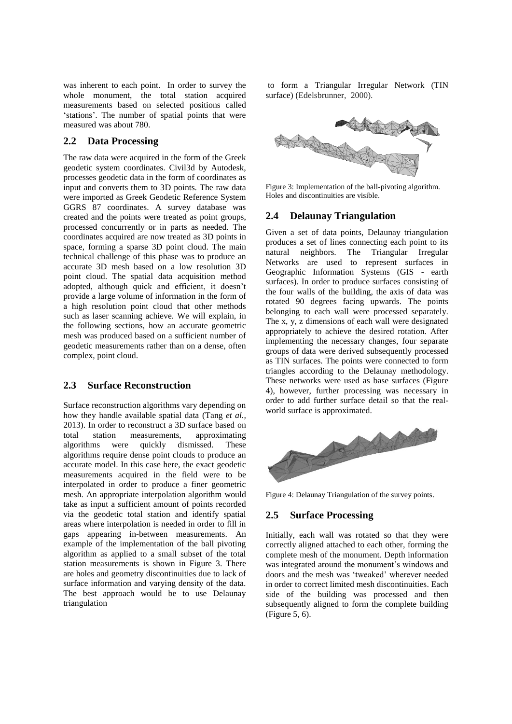was inherent to each point. In order to survey the whole monument, the total station acquired measurements based on selected positions called 'stations'. The number of spatial points that were measured was about 780.

#### **2.2 Data Processing**

The raw data were acquired in the form of the Greek geodetic system coordinates. Civil3d by Autodesk, processes geodetic data in the form of coordinates as input and converts them to 3D points. The raw data were imported as Greek Geodetic Reference System GGRS 87 coordinates. A survey database was created and the points were treated as point groups, processed concurrently or in parts as needed. The coordinates acquired are now treated as 3D points in space, forming a sparse 3D point cloud. The main technical challenge of this phase was to produce an accurate 3D mesh based on a low resolution 3D point cloud. The spatial data acquisition method adopted, although quick and efficient, it doesn't provide a large volume of information in the form of a high resolution point cloud that other methods such as laser scanning achieve. We will explain, in the following sections, how an accurate geometric mesh was produced based on a sufficient number of geodetic measurements rather than on a dense, often complex, point cloud.

#### **2.3 Surface Reconstruction**

Surface reconstruction algorithms vary depending on how they handle available spatial data (Tang *et al.,* 2013). In order to reconstruct a 3D surface based on total station measurements, approximating algorithms were quickly dismissed. These algorithms require dense point clouds to produce an accurate model. In this case here, the exact geodetic measurements acquired in the field were to be interpolated in order to produce a finer geometric mesh. An appropriate interpolation algorithm would take as input a sufficient amount of points recorded via the geodetic total station and identify spatial areas where interpolation is needed in order to fill in gaps appearing in-between measurements. An example of the implementation of the ball pivoting algorithm as applied to a small subset of the total station measurements is shown in Figure 3. There are holes and geometry discontinuities due to lack of surface information and varying density of the data. The best approach would be to use Delaunay triangulation

to form a Triangular Irregular Network (TIN surface) (Edelsbrunner, 2000).



Figure 3: Implementation of the ball-pivoting algorithm. Holes and discontinuities are visible.

#### **2.4 Delaunay Triangulation**

Given a set of data points, Delaunay triangulation produces a set of lines connecting each point to its natural neighbors. The Triangular Irregular Networks are used to represent surfaces in Geographic Information Systems (GIS - earth surfaces). In order to produce surfaces consisting of the four walls of the building, the axis of data was rotated 90 degrees facing upwards. The points belonging to each wall were processed separately. The x, y, z dimensions of each wall were designated appropriately to achieve the desired rotation. After implementing the necessary changes, four separate groups of data were derived subsequently processed as TIN surfaces. The points were connected to form triangles according to the Delaunay methodology. These networks were used as base surfaces (Figure 4), however, further processing was necessary in order to add further surface detail so that the realworld surface is approximated.



Figure 4: Delaunay Triangulation of the survey points.

#### **2.5 Surface Processing**

Initially, each wall was rotated so that they were correctly aligned attached to each other, forming the complete mesh of the monument. Depth information was integrated around the monument's windows and doors and the mesh was 'tweaked' wherever needed in order to correct limited mesh discontinuities. Each side of the building was processed and then subsequently aligned to form the complete building (Figure 5, 6).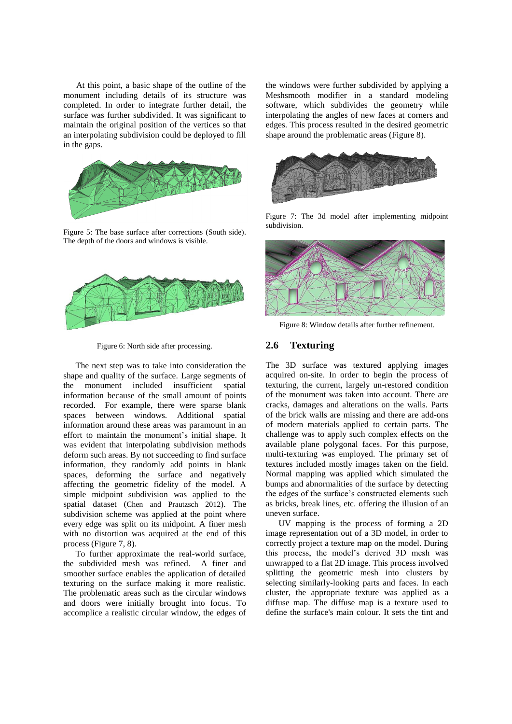At this point, a basic shape of the outline of the monument including details of its structure was completed. In order to integrate further detail, the surface was further subdivided. It was significant to maintain the original position of the vertices so that an interpolating subdivision could be deployed to fill in the gaps.



Figure 5: The base surface after corrections (South side). The depth of the doors and windows is visible.





The next step was to take into consideration the shape and quality of the surface. Large segments of the monument included insufficient spatial information because of the small amount of points recorded. For example, there were sparse blank spaces between windows. Additional spatial information around these areas was paramount in an effort to maintain the monument's initial shape. It was evident that interpolating subdivision methods deform such areas. By not succeeding to find surface information, they randomly add points in blank spaces, deforming the surface and negatively affecting the geometric fidelity of the model. A simple midpoint subdivision was applied to the spatial dataset (Chen and Prautzsch 2012). The subdivision scheme was applied at the point where every edge was split on its midpoint. A finer mesh with no distortion was acquired at the end of this process (Figure 7, 8).

To further approximate the real-world surface, the subdivided mesh was refined. A finer and smoother surface enables the application of detailed texturing on the surface making it more realistic. The problematic areas such as the circular windows and doors were initially brought into focus. To accomplice a realistic circular window, the edges of

the windows were further subdivided by applying a Meshsmooth modifier in a standard modeling software, which subdivides the geometry while interpolating the angles of new faces at corners and edges. This process resulted in the desired geometric shape around the problematic areas (Figure 8).



Figure 7: The 3d model after implementing midpoint subdivision.



Figure 8: Window details after further refinement.

#### **2.6 Texturing**

The 3D surface was textured applying images acquired on-site. In order to begin the process of texturing, the current, largely un-restored condition of the monument was taken into account. There are cracks, damages and alterations on the walls. Parts of the brick walls are missing and there are add-ons of modern materials applied to certain parts. The challenge was to apply such complex effects on the available plane polygonal faces. For this purpose, multi-texturing was employed. The primary set of textures included mostly images taken on the field. Normal mapping was applied which simulated the bumps and abnormalities of the surface by detecting the edges of the surface's constructed elements such as bricks, break lines, etc. offering the illusion of an uneven surface.

UV mapping is the process of forming a 2D image representation out of a 3D model, in order to correctly project a texture map on the model. During this process, the model's derived 3D mesh was unwrapped to a flat 2D image. This process involved splitting the geometric mesh into clusters by selecting similarly-looking parts and faces. In each cluster, the appropriate texture was applied as a diffuse map. The diffuse map is a texture used to define the surface's main colour. It sets the tint and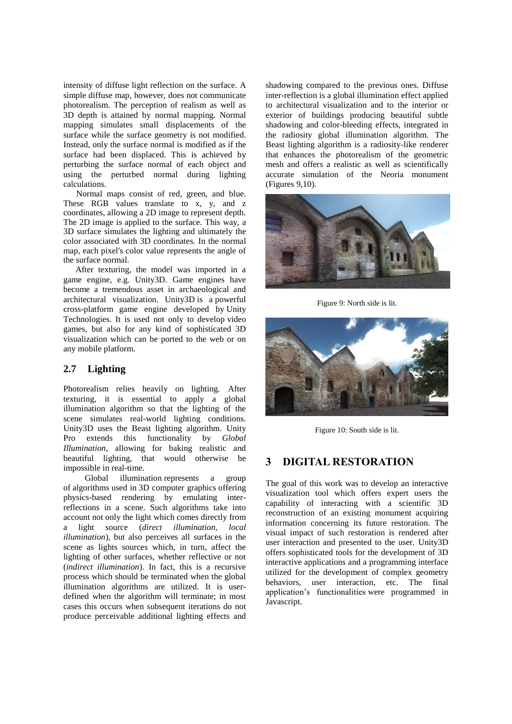intensity of diffuse light reflection on the surface. A simple diffuse map, however, does not communicate photorealism. The perception of realism as well as 3D depth is attained by normal mapping. Normal mapping simulates small displacements of the surface while the surface geometry is not modified. Instead, only the surface normal is modified as if the surface had been displaced. This is achieved by perturbing the surface normal of each object and using the perturbed normal during lighting calculations.

Normal maps consist of red, green, and blue. These RGB values translate to x, y, and z coordinates, allowing a 2D image to represent depth. The 2D image is applied to the surface. This way, a 3D surface simulates the lighting and ultimately the color associated with 3D coordinates. In the normal map, each pixel's color value represents the angle of the surface normal.

After texturing, the model was imported in a game engine, e.g. Unity3D. Game engines have become a tremendous asset in archaeological and architectural visualization. Unity3D is a powerful [cross-platform](http://en.wikipedia.org/wiki/Cross-platform) game engine developed by [Unity](http://en.wikipedia.org/wiki/Unity_Technologies)  [Technologies.](http://en.wikipedia.org/wiki/Unity_Technologies) It is used not only to develop [video](http://en.wikipedia.org/wiki/Video_game)  [games,](http://en.wikipedia.org/wiki/Video_game) but also for any kind of sophisticated 3D visualization which can be ported to the web or on any mobile platform.

#### **2.7 Lighting**

Photorealism relies heavily on lighting. After texturing, it is essential to apply a global illumination algorithm so that the lighting of the scene simulates real-world lighting conditions. Unity3D uses the Beast lighting algorithm. Unity Pro extends this functionality by *Global Illumination*, allowing for baking realistic and beautiful lighting, that would otherwise be impossible in real-time.

 Global illumination represents a group of [algorithms](http://en.wikipedia.org/wiki/Algorithm) used in [3D computer graphics](http://en.wikipedia.org/wiki/3D_computer_graphics) offering physics-based rendering by emulating interreflections in a scene. Such algorithms take into account not only the light which comes directly from<br>a light source (direct illumination, local a light source (*direct illumination*, *illumination*), but also perceives all surfaces in the scene as lights sources which, in turn, affect the lighting of other surfaces, whether reflective or not (*indirect illumination*). In fact, this is a recursive process which should be terminated when the global illumination algorithms are utilized. It is userdefined when the algorithm will terminate; in most cases this occurs when subsequent iterations do not produce perceivable additional lighting effects and

shadowing compared to the previous ones. Diffuse inter-reflection is a global illumination effect applied to architectural visualization and to the interior or exterior of buildings producing beautiful subtle shadowing and color-bleeding effects, integrated in the radiosity global illumination algorithm. The Beast lighting algorithm is a radiosity-like renderer that enhances the photorealism of the geometric mesh and offers a realistic as well as scientifically accurate simulation of the Neoria monument (Figures 9,10).



Figure 9: North side is lit.



Figure 10: South side is lit.

## **3 DIGITAL RESTORATION**

The goal of this work was to develop an interactive visualization tool which offers expert users the capability of interacting with a scientific 3D reconstruction of an existing monument acquiring information concerning its future restoration. The visual impact of such restoration is rendered after user interaction and presented to the user. Unity3D offers sophisticated tools for the development of 3D interactive applications and a programming interface utilized for the development of complex geometry behaviors, user interaction, etc. The final application's functionalities were programmed in Javascript.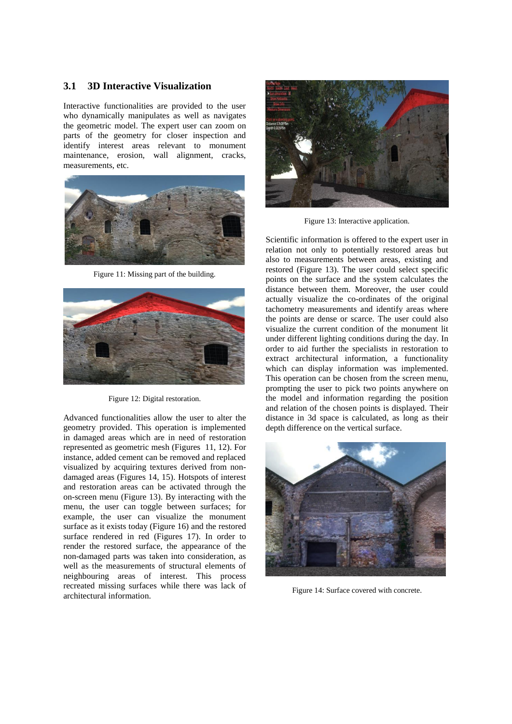#### **3.1 3D Interactive Visualization**

Interactive functionalities are provided to the user who dynamically manipulates as well as navigates the geometric model. The expert user can zoom on parts of the geometry for closer inspection and identify interest areas relevant to monument maintenance, erosion, wall alignment, cracks, measurements, etc.



Figure 11: Missing part of the building.



Figure 12: Digital restoration.

Advanced functionalities allow the user to alter the geometry provided. This operation is implemented in damaged areas which are in need of restoration represented as geometric mesh (Figures 11, 12). For instance, added cement can be removed and replaced visualized by acquiring textures derived from nondamaged areas (Figures 14, 15). Hotspots of interest and restoration areas can be activated through the on-screen menu (Figure 13). By interacting with the menu, the user can toggle between surfaces; for example, the user can visualize the monument surface as it exists today (Figure 16) and the restored surface rendered in red (Figures 17). In order to render the restored surface, the appearance of the non-damaged parts was taken into consideration, as well as the measurements of structural elements of neighbouring areas of interest. This process recreated missing surfaces while there was lack of architectural information.



Figure 13: Interactive application.

Scientific information is offered to the expert user in relation not only to potentially restored areas but also to measurements between areas, existing and restored (Figure 13). The user could select specific points on the surface and the system calculates the distance between them. Moreover, the user could actually visualize the co-ordinates of the original tachometry measurements and identify areas where the points are dense or scarce. The user could also visualize the current condition of the monument lit under different lighting conditions during the day. In order to aid further the specialists in restoration to extract architectural information, a functionality which can display information was implemented. This operation can be chosen from the screen menu, prompting the user to pick two points anywhere on the model and information regarding the position and relation of the chosen points is displayed. Their distance in 3d space is calculated, as long as their depth difference on the vertical surface.



Figure 14: Surface covered with concrete.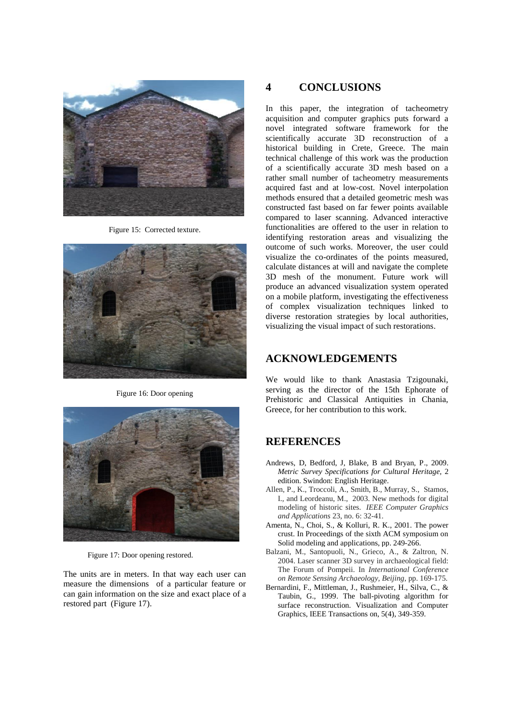

Figure 15: Corrected texture.



Figure 16: Door opening



Figure 17: Door opening restored.

The units are in meters. In that way each user can measure the dimensions of a particular feature or can gain information on the size and exact place of a restored part (Figure 17).

# **4 CONCLUSIONS**

In this paper, the integration of tacheometry acquisition and computer graphics puts forward a novel integrated software framework for the scientifically accurate 3D reconstruction of a historical building in Crete, Greece. The main technical challenge of this work was the production of a scientifically accurate 3D mesh based on a rather small number of tacheometry measurements acquired fast and at low-cost. Novel interpolation methods ensured that a detailed geometric mesh was constructed fast based on far fewer points available compared to laser scanning. Advanced interactive functionalities are offered to the user in relation to identifying restoration areas and visualizing the outcome of such works. Moreover, the user could visualize the co-ordinates of the points measured, calculate distances at will and navigate the complete 3D mesh of the monument. Future work will produce an advanced visualization system operated on a mobile platform, investigating the effectiveness of complex visualization techniques linked to diverse restoration strategies by local authorities, visualizing the visual impact of such restorations.

## **ACKNOWLEDGEMENTS**

We would like to thank Anastasia Tzigounaki, serving as the director of the 15th Ephorate of Prehistoric and Classical Antiquities in Chania, Greece, for her contribution to this work.

## **REFERENCES**

- Andrews, D, Bedford, J, Blake, B and Bryan, P., 2009. *Metric Survey Specifications for Cultural Heritage,* 2 edition. Swindon: English Heritage.
- Allen, P., K., Troccoli, A., Smith, B., Murray, S., Stamos, I., and Leordeanu, M., 2003. New methods for digital modeling of historic sites. *IEEE Computer Graphics and Applications* 23, no. 6: 32-41.
- Amenta, N., Choi, S., & Kolluri, R. K., 2001. The power crust. In Proceedings of the sixth ACM symposium on Solid modeling and applications, pp. 249-266.
- Balzani, M., Santopuoli, N., Grieco, A., & Zaltron, N. 2004. Laser scanner 3D survey in archaeological field: The Forum of Pompeii. In *International Conference on Remote Sensing Archaeology, Beijing*, pp. 169-175.
- Bernardini, F., Mittleman, J., Rushmeier, H., Silva, C., & Taubin, G., 1999. The ball-pivoting algorithm for surface reconstruction. Visualization and Computer Graphics, IEEE Transactions on, 5(4), 349-359.